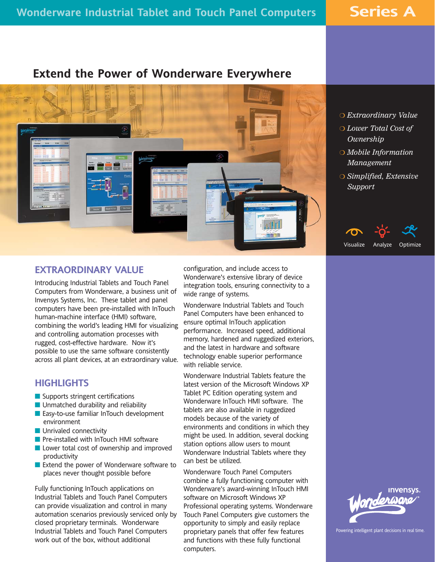**Series A**

# **Extend the Power of Wonderware Everywhere**



- *Extraordinary Value*
- *Lower Total Cost of Ownership*
- *Mobile Information Management*
- *Simplified, Extensive Support*

Visualize Analyze Optimize

### **EXTRAORDINARY VALUE**

Introducing Industrial Tablets and Touch Panel Computers from Wonderware, a business unit of Invensys Systems, Inc. These tablet and panel computers have been pre-installed with InTouch human-machine interface (HMI) software, combining the world's leading HMI for visualizing and controlling automation processes with rugged, cost-effective hardware. Now it's possible to use the same software consistently across all plant devices, at an extraordinary value.

# **HIGHLIGHTS**

- Supports stringent certifications
- **Unmatched durability and reliability**
- **Easy-to-use familiar InTouch development** environment
- **Unrivaled connectivity**
- Pre-installed with InTouch HMI software
- **Lower total cost of ownership and improved** productivity
- Extend the power of Wonderware software to places never thought possible before

Fully functioning InTouch applications on Industrial Tablets and Touch Panel Computers can provide visualization and control in many automation scenarios previously serviced only by closed proprietary terminals. Wonderware Industrial Tablets and Touch Panel Computers work out of the box, without additional

configuration, and include access to Wonderware's extensive library of device integration tools, ensuring connectivity to a wide range of systems.

Wonderware Industrial Tablets and Touch Panel Computers have been enhanced to ensure optimal InTouch application performance. Increased speed, additional memory, hardened and ruggedized exteriors, and the latest in hardware and software technology enable superior performance with reliable service.

Wonderware Industrial Tablets feature the latest version of the Microsoft Windows XP Tablet PC Edition operating system and Wonderware InTouch HMI software. The tablets are also available in ruggedized models because of the variety of environments and conditions in which they might be used. In addition, several docking station options allow users to mount Wonderware Industrial Tablets where they can best be utilized.

Wonderware Touch Panel Computers combine a fully functioning computer with Wonderware's award-winning InTouch HMI software on Microsoft Windows XP Professional operating systems. Wonderware Touch Panel Computers give customers the opportunity to simply and easily replace proprietary panels that offer few features and functions with these fully functional computers.



Powering intelligent plant decisions in real time.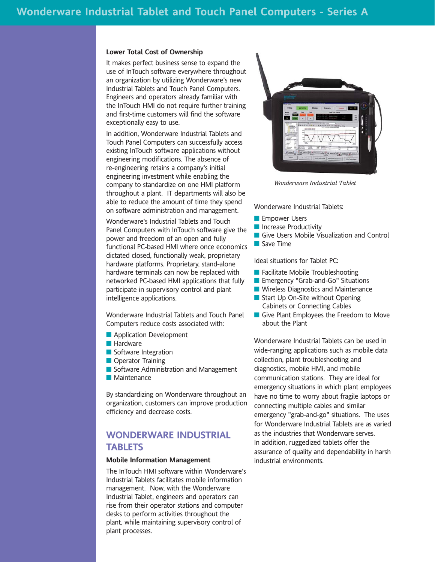#### **Lower Total Cost of Ownership**

It makes perfect business sense to expand the use of InTouch software everywhere throughout an organization by utilizing Wonderware's new Industrial Tablets and Touch Panel Computers. Engineers and operators already familiar with the InTouch HMI do not require further training and first-time customers will find the software exceptionally easy to use.

In addition, Wonderware Industrial Tablets and Touch Panel Computers can successfully access existing InTouch software applications without engineering modifications. The absence of re-engineering retains a company's initial engineering investment while enabling the company to standardize on one HMI platform throughout a plant. IT departments will also be able to reduce the amount of time they spend on software administration and management.

Wonderware's Industrial Tablets and Touch Panel Computers with InTouch software give the power and freedom of an open and fully functional PC-based HMI where once economics dictated closed, functionally weak, proprietary hardware platforms. Proprietary, stand-alone hardware terminals can now be replaced with networked PC-based HMI applications that fully participate in supervisory control and plant intelligence applications.

Wonderware Industrial Tablets and Touch Panel Computers reduce costs associated with:

- **Application Development**
- **Hardware**
- Software Integration
- **Operator Training**
- Software Administration and Management
- **Maintenance**

By standardizing on Wonderware throughout an organization, customers can improve production efficiency and decrease costs.

## **WONDERWARE INDUSTRIAL TABLETS**

### **Mobile Information Management**

The InTouch HMI software within Wonderware's Industrial Tablets facilitates mobile information management. Now, with the Wonderware Industrial Tablet, engineers and operators can rise from their operator stations and computer desks to perform activities throughout the plant, while maintaining supervisory control of plant processes.



*Wonderware Industrial Tablet*

Wonderware Industrial Tablets:

- **Empower Users**
- **Increase Productivity**
- Give Users Mobile Visualization and Control
- Save Time

Ideal situations for Tablet PC:

- **Facilitate Mobile Troubleshooting**
- **Exercy "Grab-and-Go" Situations**
- **Wireless Diagnostics and Maintenance**
- Start Up On-Site without Opening Cabinets or Connecting Cables
- Give Plant Employees the Freedom to Move about the Plant

Wonderware Industrial Tablets can be used in wide-ranging applications such as mobile data collection, plant troubleshooting and diagnostics, mobile HMI, and mobile communication stations. They are ideal for emergency situations in which plant employees have no time to worry about fragile laptops or connecting multiple cables and similar emergency "grab-and-go" situations. The uses for Wonderware Industrial Tablets are as varied as the industries that Wonderware serves. In addition, ruggedized tablets offer the assurance of quality and dependability in harsh industrial environments.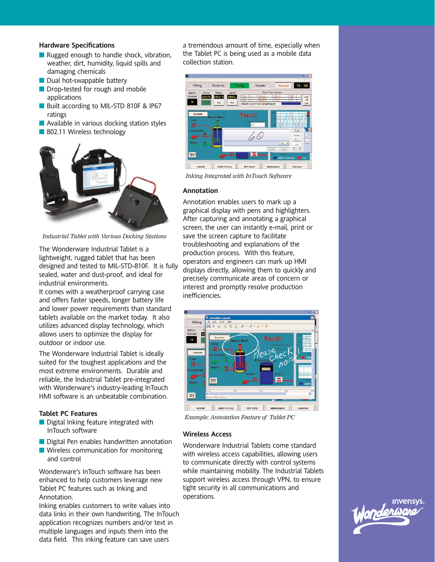### **Hardware Specifications**

- Rugged enough to handle shock, vibration, weather, dirt, humidity, liquid spills and damaging chemicals
- $\blacksquare$  Dual hot-swappable battery
- Drop-tested for rough and mobile applications
- Built according to MIL-STD 810F & IP67 ratings
- **Available in various docking station styles**
- 802.11 Wireless technology



*Industrial Tablet with Various Docking Stations*

The Wonderware Industrial Tablet is a lightweight, rugged tablet that has been designed and tested to MIL-STD-810F. It is fully sealed, water and dust-proof, and ideal for industrial environments.

It comes with a weatherproof carrying case and offers faster speeds, longer battery life and lower power requirements than standard tablets available on the market today. It also utilizes advanced display technology, which allows users to optimize the display for outdoor or indoor use.

The Wonderware Industrial Tablet is ideally suited for the toughest applications and the most extreme environments. Durable and reliable, the Industrial Tablet pre-integrated with Wonderware's industry-leading InTouch HMI software is an unbeatable combination.

### **Tablet PC Features**

- Digital Inking feature integrated with InTouch software
- Digital Pen enables handwritten annotation
- **Wireless communication for monitoring** and control

Wonderware's InTouch software has been enhanced to help customers leverage new Tablet PC features such as Inking and Annotation.

Inking enables customers to write values into data links in their own handwriting. The InTouch application recognizes numbers and/or text in multiple languages and inputs them into the data field. This inking feature can save users

a tremendous amount of time, especially when the Tablet PC is being used as a mobile data collection station.



*Inking Integrated with InTouch Software*

#### **Annotation**

Annotation enables users to mark up a graphical display with pens and highlighters. After capturing and annotating a graphical screen, the user can instantly e-mail, print or save the screen capture to facilitate troubleshooting and explanations of the production process. With this feature, operators and engineers can mark up HMI displays directly, allowing them to quickly and precisely communicate areas of concern or interest and promptly resolve production inefficiencies.



*Example: Annotation Feature of Tablet PC*

#### **Wireless Access**

Wonderware Industrial Tablets come standard with wireless access capabilities, allowing users to communicate directly with control systems while maintaining mobility. The Industrial Tablets support wireless access through VPN, to ensure tight security in all communications and operations.

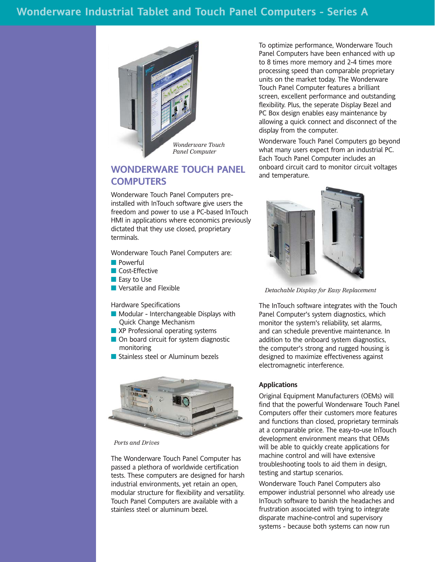# **Wonderware Industrial Tablet and Touch Panel Computers - Series A**



# **WONDERWARE TOUCH PANEL COMPUTERS**

Wonderware Touch Panel Computers preinstalled with InTouch software give users the freedom and power to use a PC-based InTouch HMI in applications where economics previously dictated that they use closed, proprietary terminals.

Wonderware Touch Panel Computers are:

- **Powerful**
- **Cost-Effective**
- **Easy to Use**
- **Versatile and Flexible**

Hardware Specifications

- **Modular Interchangeable Displays with** Quick Change Mechanism
- XP Professional operating systems
- On board circuit for system diagnostic monitoring
- Stainless steel or Aluminum bezels



*Ports and Drives*

The Wonderware Touch Panel Computer has passed a plethora of worldwide certification tests. These computers are designed for harsh industrial environments, yet retain an open, modular structure for flexibility and versatility. Touch Panel Computers are available with a stainless steel or aluminum bezel.

To optimize performance, Wonderware Touch Panel Computers have been enhanced with up to 8 times more memory and 2-4 times more processing speed than comparable proprietary units on the market today. The Wonderware Touch Panel Computer features a brilliant screen, excellent performance and outstanding flexibility. Plus, the seperate Display Bezel and PC Box design enables easy maintenance by allowing a quick connect and disconnect of the display from the computer.

Wonderware Touch Panel Computers go beyond what many users expect from an industrial PC. Each Touch Panel Computer includes an onboard circuit card to monitor circuit voltages and temperature.



*Detachable Display for Easy Replacement*

The InTouch software integrates with the Touch Panel Computer's system diagnostics, which monitor the system's reliability, set alarms, and can schedule preventive maintenance. In addition to the onboard system diagnostics, the computer's strong and rugged housing is designed to maximize effectiveness against electromagnetic interference.

#### **Applications**

Original Equipment Manufacturers (OEMs) will find that the powerful Wonderware Touch Panel Computers offer their customers more features and functions than closed, proprietary terminals at a comparable price. The easy-to-use InTouch development environment means that OEMs will be able to quickly create applications for machine control and will have extensive troubleshooting tools to aid them in design, testing and startup scenarios.

Wonderware Touch Panel Computers also empower industrial personnel who already use InTouch software to banish the headaches and frustration associated with trying to integrate disparate machine-control and supervisory systems - because both systems can now run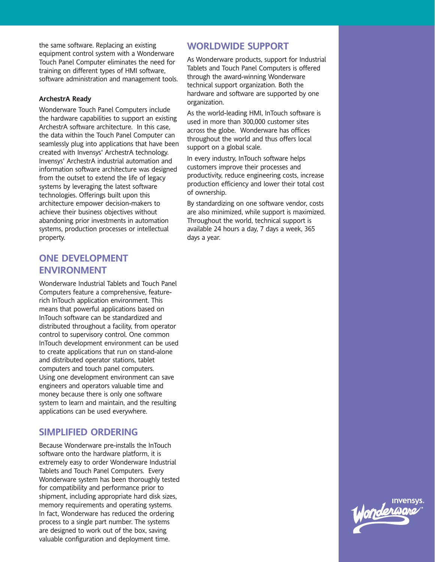the same software. Replacing an existing equipment control system with a Wonderware Touch Panel Computer eliminates the need for training on different types of HMI software, software administration and management tools.

### **ArchestrA Ready**

Wonderware Touch Panel Computers include the hardware capabilities to support an existing ArchestrA software architecture. In this case, the data within the Touch Panel Computer can seamlessly plug into applications that have been created with Invensys' ArchestrA technology. Invensys' ArchestrA industrial automation and information software architecture was designed from the outset to extend the life of legacy systems by leveraging the latest software technologies. Offerings built upon this architecture empower decision-makers to achieve their business objectives without abandoning prior investments in automation systems, production processes or intellectual property.

# **ONE DEVELOPMENT ENVIRONMENT**

Wonderware Industrial Tablets and Touch Panel Computers feature a comprehensive, featurerich InTouch application environment. This means that powerful applications based on InTouch software can be standardized and distributed throughout a facility, from operator control to supervisory control. One common InTouch development environment can be used to create applications that run on stand-alone and distributed operator stations, tablet computers and touch panel computers. Using one development environment can save engineers and operators valuable time and money because there is only one software system to learn and maintain, and the resulting applications can be used everywhere.

### **SIMPLIFIED ORDERING**

Because Wonderware pre-installs the InTouch software onto the hardware platform, it is extremely easy to order Wonderware Industrial Tablets and Touch Panel Computers. Every Wonderware system has been thoroughly tested for compatibility and performance prior to shipment, including appropriate hard disk sizes, memory requirements and operating systems. In fact, Wonderware has reduced the ordering process to a single part number. The systems are designed to work out of the box, saving valuable configuration and deployment time.

### **WORLDWIDE SUPPORT**

As Wonderware products, support for Industrial Tablets and Touch Panel Computers is offered through the award-winning Wonderware technical support organization. Both the hardware and software are supported by one organization.

As the world-leading HMI, InTouch software is used in more than 300,000 customer sites across the globe. Wonderware has offices throughout the world and thus offers local support on a global scale.

In every industry, InTouch software helps customers improve their processes and productivity, reduce engineering costs, increase production efficiency and lower their total cost of ownership.

By standardizing on one software vendor, costs are also minimized, while support is maximized. Throughout the world, technical support is available 24 hours a day, 7 days a week, 365 days a year.

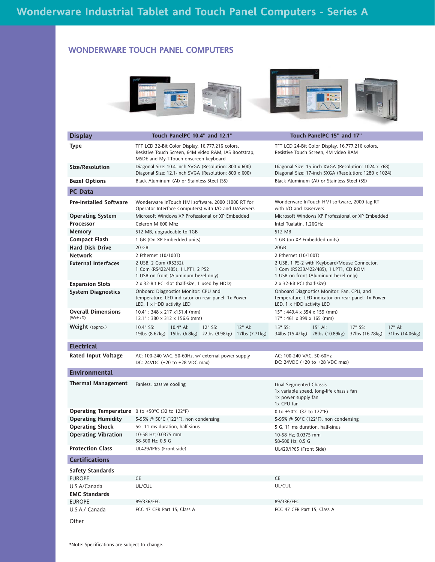### **WONDERWARE TOUCH PANEL COMPUTERS**

|                                                       |                                                                                                                                                    |                                                  |                                                                                                               | Ha <sub>n</sub>                                                                                                               |                                                    |                            |  |  |  |  |
|-------------------------------------------------------|----------------------------------------------------------------------------------------------------------------------------------------------------|--------------------------------------------------|---------------------------------------------------------------------------------------------------------------|-------------------------------------------------------------------------------------------------------------------------------|----------------------------------------------------|----------------------------|--|--|--|--|
| <b>Display</b>                                        | Touch PanelPC 10.4" and 12.1"                                                                                                                      |                                                  |                                                                                                               | Touch PanelPC 15" and 17"                                                                                                     |                                                    |                            |  |  |  |  |
| Type                                                  | TFT LCD 32-Bit Color Display, 16,777,216 colors,<br>Resistive Touch Screen, 64M video RAM, IAS Bootstrap,<br>MSDE and My-T-Touch onscreen keyboard |                                                  |                                                                                                               | TFT LCD 24-Bit Color Display, 16,777,216 colors,<br>Resistive Touch Screen, 4M video RAM                                      |                                                    |                            |  |  |  |  |
| Size/Resolution                                       | Diagonal Size: 10.4-inch SVGA (Resolution: 800 x 600)<br>Diagonal Size: 12.1-inch SVGA (Resolution: 800 x 600)                                     |                                                  | Diagonal Size: 15-inch XVGA (Resolution: 1024 x 768)<br>Diagonal Size: 17-inch SXGA (Resolution: 1280 x 1024) |                                                                                                                               |                                                    |                            |  |  |  |  |
| <b>Bezel Options</b>                                  | Black Aluminum (Al) or Stainless Steel (SS)                                                                                                        |                                                  | Black Aluminum (Al) or Stainless Steel (SS)                                                                   |                                                                                                                               |                                                    |                            |  |  |  |  |
| <b>PC Data</b>                                        |                                                                                                                                                    |                                                  |                                                                                                               |                                                                                                                               |                                                    |                            |  |  |  |  |
| <b>Pre-Installed Software</b>                         | Wonderware InTouch HMI software, 2000 (1000 RT for<br>Operator Interface Computers) with I/O and DAServers                                         |                                                  | with I/O and Daservers                                                                                        | Wonderware InTouch HMI software, 2000 tag RT                                                                                  |                                                    |                            |  |  |  |  |
| <b>Operating System</b>                               | Microsoft Windows XP Professional or XP Embedded                                                                                                   | Microsoft Windows XP Professional or XP Embedded |                                                                                                               |                                                                                                                               |                                                    |                            |  |  |  |  |
| <b>Processor</b>                                      | Celeron M 600 Mhz                                                                                                                                  |                                                  | Intel Tualatin, 1.26GHz                                                                                       |                                                                                                                               |                                                    |                            |  |  |  |  |
| <b>Memory</b>                                         | 512 MB, upgradeable to 1GB                                                                                                                         |                                                  | 512 MB                                                                                                        |                                                                                                                               |                                                    |                            |  |  |  |  |
| <b>Compact Flash</b>                                  | 1 GB (On XP Embedded units)                                                                                                                        |                                                  | 1 GB (on XP Embedded units)                                                                                   |                                                                                                                               |                                                    |                            |  |  |  |  |
| <b>Hard Disk Drive</b>                                | 20 GB                                                                                                                                              |                                                  | 20GB                                                                                                          |                                                                                                                               |                                                    |                            |  |  |  |  |
| <b>Network</b>                                        | 2 Ethernet (10/100T)                                                                                                                               |                                                  | 2 Ethernet (10/100T)                                                                                          |                                                                                                                               |                                                    |                            |  |  |  |  |
| <b>External Interfaces</b>                            | 2 USB, 2 Com (RS232),<br>1 Com (RS422/485), 1 LPT1, 2 PS2<br>1 USB on front (Aluminum bezel only)                                                  |                                                  |                                                                                                               | 2 USB, 1 PS-2 with Keyboard/Mouse Connector,<br>1 Com (RS233/422/485), 1 LPT1, CD ROM<br>1 USB on front (Aluminum bezel only) |                                                    |                            |  |  |  |  |
| <b>Expansion Slots</b>                                | 2 x 32-Bit PCI slot (half-size, 1 used by HDD)                                                                                                     |                                                  | 2 x 32-Bit PCI (half-size)                                                                                    |                                                                                                                               |                                                    |                            |  |  |  |  |
| <b>System Diagnostics</b>                             | Onboard Diagnostics Monitor: CPU and<br>temperature. LED indicator on rear panel: 1x Power<br>LED, 1 x HDD activity LED                            |                                                  | LED, 1 x HDD activity LED                                                                                     | Onboard Diagnostics Monitor: Fan, CPU, and                                                                                    | temperature. LED indicator on rear panel: 1x Power |                            |  |  |  |  |
| <b>Overall Dimensions</b><br>(WxHxD)                  | 10.4": 348 x 217 x151.4 (mm)<br>$12.1"$ : 380 x 312 x 156.6 (mm)                                                                                   |                                                  | 15": 449.4 x 354 x 159 (mm)<br>17": 461 x 399 x 165 (mm)                                                      |                                                                                                                               |                                                    |                            |  |  |  |  |
| Weight (approx.)                                      | 10.4" SS:<br>10.4" Al:<br>12" SS:<br>19lbs (8.62kg) 15lbs (6.8kg) 22lbs (9.98kg) 17lbs (7.71kg)                                                    | 12" Al:                                          | 15" SS:                                                                                                       | 15" Al:<br>34lbs (15.42kg) 28lbs (10.89kg)                                                                                    | 17" SS:<br>37lbs (16.78kg)                         | 17" Al:<br>31lbs (14.06kg) |  |  |  |  |
| <b>Electrical</b>                                     |                                                                                                                                                    |                                                  |                                                                                                               |                                                                                                                               |                                                    |                            |  |  |  |  |
| <b>Rated Input Voltage</b>                            | AC: 100-240 VAC, 50-60Hz, w/ external power supply<br>DC: 24VDC (+20 to +28 VDC max)                                                               |                                                  | AC: 100-240 VAC, 50-60Hz                                                                                      | DC: 24VDC (+20 to +28 VDC max)                                                                                                |                                                    |                            |  |  |  |  |
| <b>Environmental</b>                                  |                                                                                                                                                    |                                                  |                                                                                                               |                                                                                                                               |                                                    |                            |  |  |  |  |
| <b>Thermal Management</b>                             | Fanless, passive cooling                                                                                                                           |                                                  | Dual Segmented Chassis<br>1x power supply fan<br>1x CPU fan                                                   | 1x variable speed, long-life chassis fan                                                                                      |                                                    |                            |  |  |  |  |
| <b>Operating Temperature</b> 0 to +50°C (32 to 122°F) |                                                                                                                                                    |                                                  | 0 to +50°C (32 to 122°F)                                                                                      |                                                                                                                               |                                                    |                            |  |  |  |  |
| <b>Operating Humidity</b>                             | 5-95% @ 50 $\degree$ C (122 $\degree$ F), non condensing                                                                                           |                                                  |                                                                                                               | 5-95% @ 50 $\degree$ C (122 $\degree$ F), non condensing                                                                      |                                                    |                            |  |  |  |  |
| <b>Operating Shock</b>                                | 5G, 11 ms duration, half-sinus                                                                                                                     |                                                  | 5 G, 11 ms duration, half-sinus                                                                               |                                                                                                                               |                                                    |                            |  |  |  |  |
| <b>Operating Vibration</b>                            | 10-58 Hz; 0.0375 mm                                                                                                                                |                                                  | 10-58 Hz: 0.0375 mm                                                                                           |                                                                                                                               |                                                    |                            |  |  |  |  |
| <b>Protection Class</b>                               | 58-500 Hz; 0.5 G<br>UL429/IP65 (Front side)                                                                                                        |                                                  | 58-500 Hz; 0.5 G<br>UL429/IP65 (Front Side)                                                                   |                                                                                                                               |                                                    |                            |  |  |  |  |
| <b>Certifications</b>                                 |                                                                                                                                                    |                                                  |                                                                                                               |                                                                                                                               |                                                    |                            |  |  |  |  |
| <b>Safety Standards</b>                               |                                                                                                                                                    |                                                  |                                                                                                               |                                                                                                                               |                                                    |                            |  |  |  |  |
| <b>EUROPE</b>                                         | CE                                                                                                                                                 |                                                  | CE                                                                                                            |                                                                                                                               |                                                    |                            |  |  |  |  |
| U.S.A/Canada<br><b>EMC Standards</b>                  | UL/CUL                                                                                                                                             |                                                  | UL/CUL                                                                                                        |                                                                                                                               |                                                    |                            |  |  |  |  |
| <b>EUROPE</b>                                         | 89/336/EEC                                                                                                                                         |                                                  | 89/336/EEC                                                                                                    |                                                                                                                               |                                                    |                            |  |  |  |  |
| U.S.A./ Canada                                        | FCC 47 CFR Part 15, Class A                                                                                                                        |                                                  | FCC 47 CFR Part 15, Class A                                                                                   |                                                                                                                               |                                                    |                            |  |  |  |  |
| Other                                                 |                                                                                                                                                    |                                                  |                                                                                                               |                                                                                                                               |                                                    |                            |  |  |  |  |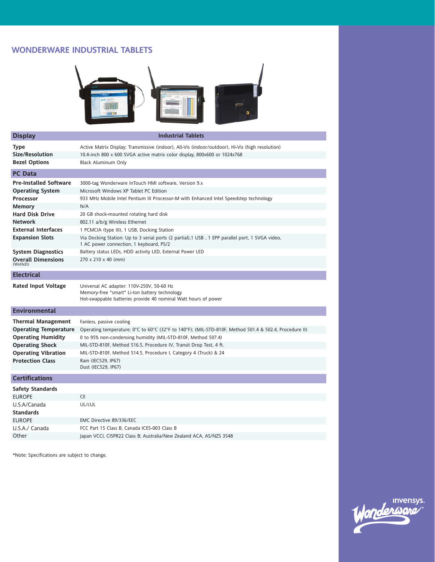### **WONDERWARE INDUSTRIAL TABLETS**



| <b>Display</b>                       | <b>Industrial Tablets</b>                                                                                                                                    |
|--------------------------------------|--------------------------------------------------------------------------------------------------------------------------------------------------------------|
| <b>Type</b>                          | Active Matrix Display; Transmissive (indoor), All-Vis (indoor/outdoor), Hi-Vis (high resolution)                                                             |
| Size/Resolution                      | 10.4-inch 800 x 600 SVGA active matrix color display, 800x600 or 1024x768                                                                                    |
| <b>Bezel Options</b>                 | <b>Black Aluminum Only</b>                                                                                                                                   |
| <b>PC</b> Data                       |                                                                                                                                                              |
| <b>Pre-Installed Software</b>        | 3000-tag Wonderware InTouch HMI software, Version 9.x                                                                                                        |
| <b>Operating System</b>              | Microsoft Windows XP Tablet PC Edition                                                                                                                       |
| <b>Processor</b>                     | 933 MHz Mobile Intel Pentium III Processor-M with Enhanced Intel Speedstep technology                                                                        |
| <b>Memory</b>                        | N/A                                                                                                                                                          |
| <b>Hard Disk Drive</b>               | 20 GB shock-mounted rotating hard disk                                                                                                                       |
| <b>Network</b>                       | 802.11 a/b/g Wireless Ethernet                                                                                                                               |
| <b>External Interfaces</b>           | 1 PCMCIA (type III), 1 USB, Docking Station                                                                                                                  |
| <b>Expansion Slots</b>               | Via Docking Station: Up to 3 serial ports (2 partial), 1 USB, 1 EPP parallel port, 1 SVGA video,<br>1 AC power connection, 1 keyboard, PS/2                  |
| <b>System Diagnostics</b>            | Battery status LEDs, HDD activity LED, External Power LED                                                                                                    |
| <b>Overall Dimensions</b><br>(WxHxD) | 270 x 210 x 40 (mm)                                                                                                                                          |
| <b>Electrical</b>                    |                                                                                                                                                              |
| <b>Rated Input Voltage</b>           | Universal AC adapter: 110V-250V, 50-60 Hz<br>Memory-free "smart" Li-Ion battery technology<br>Hot-swappable batteries provide 40 nominal Watt hours of power |
| <b>Environmental</b>                 |                                                                                                                                                              |
| <b>Thermal Management</b>            | Fanless, passive cooling                                                                                                                                     |
| <b>Operating Temperature</b>         | Operating temperature: $0^{\circ}$ C to $60^{\circ}$ C (32°F to 140°F); (MIL-STD-810F, Method 501.4 & 502.4, Procedure II)                                   |
| <b>Operating Humidity</b>            | 0 to 95% non-condensing humidity (MIL-STD-810F, Method 507.4)                                                                                                |
| <b>Operating Shock</b>               | MIL-STD-810F, Method 516.5, Procedure IV, Transit Drop Test, 4 ft.                                                                                           |
| <b>Operating Vibration</b>           | MIL-STD-810F, Method 514.5, Procedure I, Category 4 (Truck) & 24                                                                                             |
| <b>Protection Class</b>              | Rain (IEC529, IP67)<br>Dust (IEC529, IP67)                                                                                                                   |
| <b>Certifications</b>                |                                                                                                                                                              |
| <b>Safety Standards</b>              |                                                                                                                                                              |
| <b>EUROPE</b>                        | CE                                                                                                                                                           |
| U.S.A/Canada                         | UL/cUL                                                                                                                                                       |
| <b>Standards</b>                     |                                                                                                                                                              |
| <b>EUROPE</b>                        | EMC Directive 89/336/EEC                                                                                                                                     |
| U.S.A./ Canada                       | FCC Part 15 Class B, Canada ICES-003 Class B                                                                                                                 |
| Other                                | Japan VCCI, CISPR22 Class B; Australia/New Zealand ACA, AS/NZS 3548                                                                                          |
|                                      |                                                                                                                                                              |

\*Note: Specifications are subject to change.